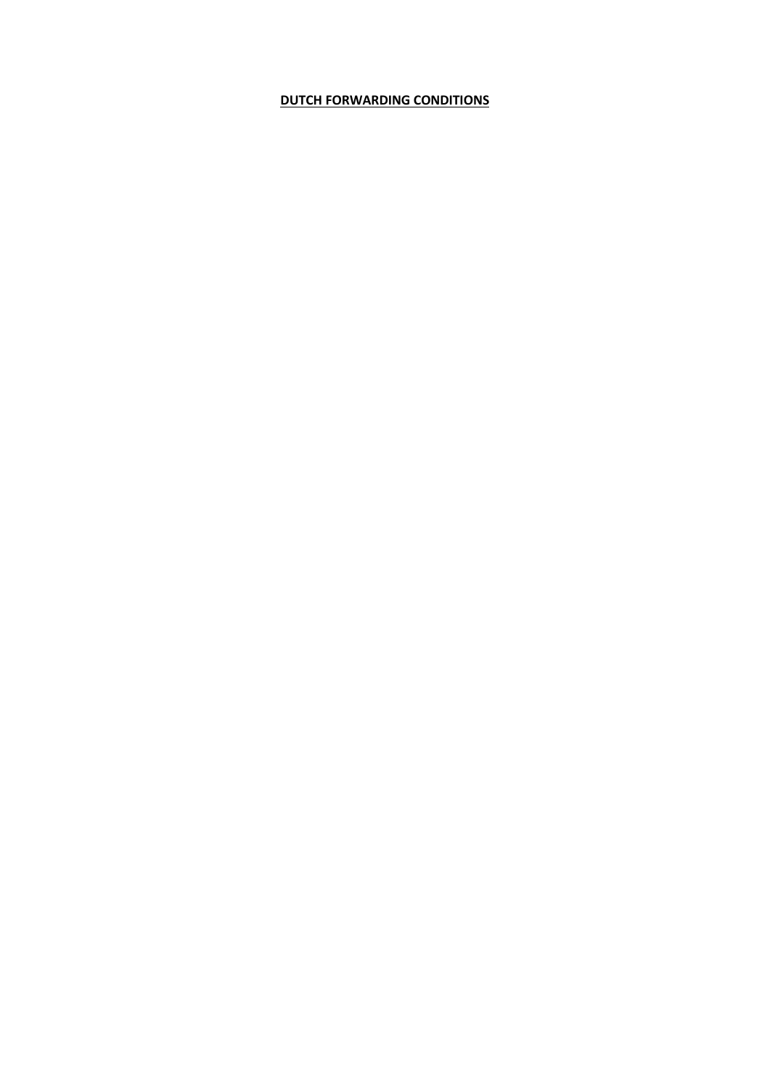# **DUTCH FORWARDING CONDITIONS**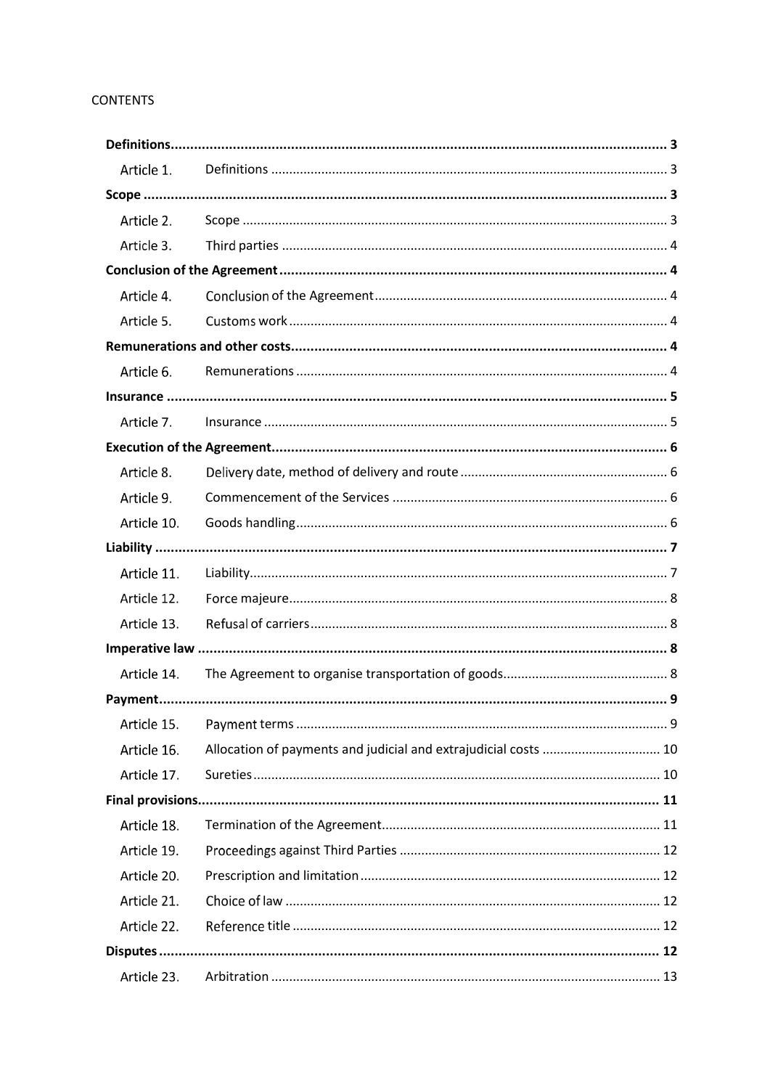# **CONTENTS**

| Article 1.  |                                                                 |  |
|-------------|-----------------------------------------------------------------|--|
|             |                                                                 |  |
| Article 2.  |                                                                 |  |
| Article 3.  |                                                                 |  |
|             |                                                                 |  |
| Article 4.  |                                                                 |  |
| Article 5.  |                                                                 |  |
|             |                                                                 |  |
| Article 6.  |                                                                 |  |
|             |                                                                 |  |
| Article 7.  |                                                                 |  |
|             |                                                                 |  |
| Article 8.  |                                                                 |  |
| Article 9.  |                                                                 |  |
| Article 10. |                                                                 |  |
|             |                                                                 |  |
| Article 11. |                                                                 |  |
| Article 12. |                                                                 |  |
| Article 13. |                                                                 |  |
|             |                                                                 |  |
| Article 14. |                                                                 |  |
|             |                                                                 |  |
| Article 15. |                                                                 |  |
| Article 16. | Allocation of payments and judicial and extrajudicial costs  10 |  |
| Article 17. |                                                                 |  |
|             |                                                                 |  |
| Article 18. |                                                                 |  |
| Article 19. |                                                                 |  |
| Article 20. |                                                                 |  |
| Article 21. |                                                                 |  |
| Article 22. |                                                                 |  |
|             |                                                                 |  |
| Article 23. |                                                                 |  |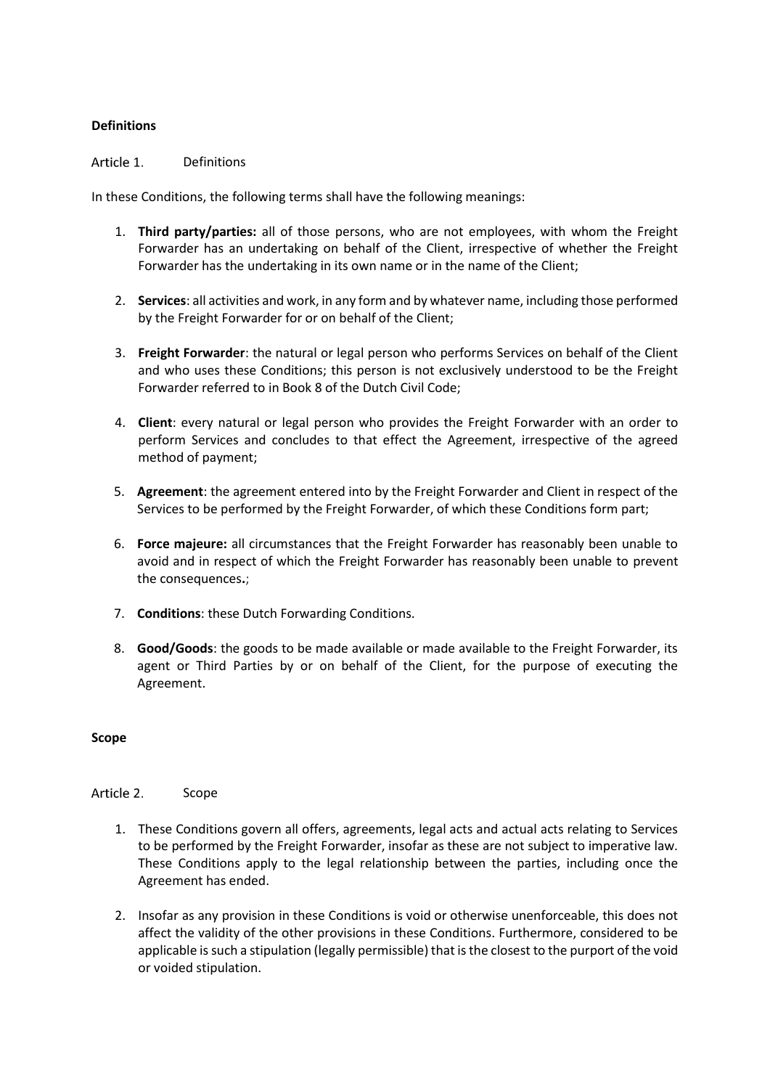## <span id="page-2-0"></span>**Definitions**

#### <span id="page-2-1"></span>Article 1. Definitions

In these Conditions, the following terms shall have the following meanings:

- 1. **Third party/parties:** all of those persons, who are not employees, with whom the Freight Forwarder has an undertaking on behalf of the Client, irrespective of whether the Freight Forwarder has the undertaking in its own name or in the name of the Client;
- 2. **Services**: all activities and work, in any form and by whatever name, including those performed by the Freight Forwarder for or on behalf of the Client;
- 3. **Freight Forwarder**: the natural or legal person who performs Services on behalf of the Client and who uses these Conditions; this person is not exclusively understood to be the Freight Forwarder referred to in Book 8 of the Dutch Civil Code;
- 4. **Client**: every natural or legal person who provides the Freight Forwarder with an order to perform Services and concludes to that effect the Agreement, irrespective of the agreed method of payment;
- 5. **Agreement**: the agreement entered into by the Freight Forwarder and Client in respect of the Services to be performed by the Freight Forwarder, of which these Conditions form part;
- 6. **Force majeure:** all circumstances that the Freight Forwarder has reasonably been unable to avoid and in respect of which the Freight Forwarder has reasonably been unable to prevent the consequences**.**;
- 7. **Conditions**: these Dutch Forwarding Conditions.
- 8. **Good/Goods**: the goods to be made available or made available to the Freight Forwarder, its agent or Third Parties by or on behalf of the Client, for the purpose of executing the Agreement.

## <span id="page-2-2"></span>**Scope**

<span id="page-2-3"></span>Article 2. Scope

- 1. These Conditions govern all offers, agreements, legal acts and actual acts relating to Services to be performed by the Freight Forwarder, insofar as these are not subject to imperative law. These Conditions apply to the legal relationship between the parties, including once the Agreement has ended.
- 2. Insofar as any provision in these Conditions is void or otherwise unenforceable, this does not affect the validity of the other provisions in these Conditions. Furthermore, considered to be applicable is such a stipulation (legally permissible) that is the closest to the purport of the void or voided stipulation.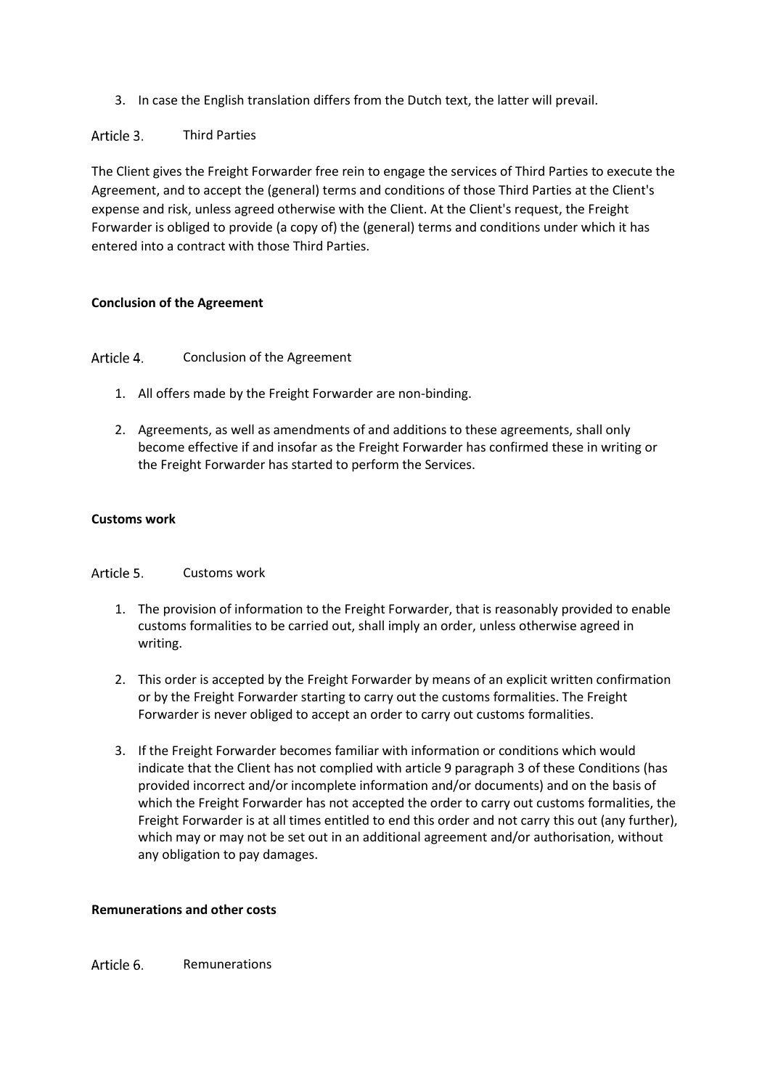3. In case the English translation differs from the Dutch text, the latter will prevail.

<span id="page-3-0"></span>Article 3. Third Parties

The Client gives the Freight Forwarder free rein to engage the services of Third Parties to execute the Agreement, and to accept the (general) terms and conditions of those Third Parties at the Client's expense and risk, unless agreed otherwise with the Client. At the Client's request, the Freight Forwarder is obliged to provide (a copy of) the (general) terms and conditions under which it has entered into a contract with those Third Parties.

# <span id="page-3-1"></span>**Conclusion of the Agreement**

#### <span id="page-3-2"></span>Article 4. Conclusion of the Agreement

- 1. All offers made by the Freight Forwarder are non-binding.
- 2. Agreements, as well as amendments of and additions to these agreements, shall only become effective if and insofar as the Freight Forwarder has confirmed these in writing or the Freight Forwarder has started to perform the Services.

# **Customs work**

#### <span id="page-3-3"></span>Article 5. Customs work

- 1. The provision of information to the Freight Forwarder, that is reasonably provided to enable customs formalities to be carried out, shall imply an order, unless otherwise agreed in writing.
- 2. This order is accepted by the Freight Forwarder by means of an explicit written confirmation or by the Freight Forwarder starting to carry out the customs formalities. The Freight Forwarder is never obliged to accept an order to carry out customs formalities.
- 3. If the Freight Forwarder becomes familiar with information or conditions which would indicate that the Client has not complied with article 9 paragraph 3 of these Conditions (has provided incorrect and/or incomplete information and/or documents) and on the basis of which the Freight Forwarder has not accepted the order to carry out customs formalities, the Freight Forwarder is at all times entitled to end this order and not carry this out (any further), which may or may not be set out in an additional agreement and/or authorisation, without any obligation to pay damages.

# <span id="page-3-4"></span>**Remunerations and other costs**

<span id="page-3-5"></span>Article 6. Remunerations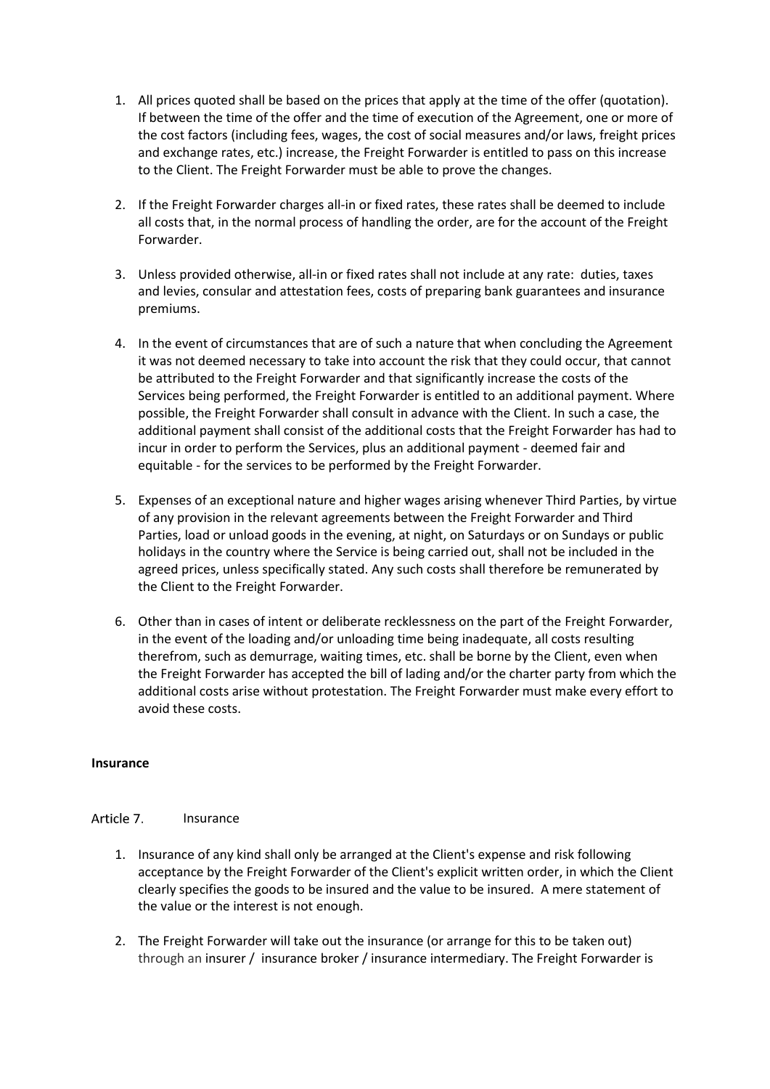- 1. All prices quoted shall be based on the prices that apply at the time of the offer (quotation). If between the time of the offer and the time of execution of the Agreement, one or more of the cost factors (including fees, wages, the cost of social measures and/or laws, freight prices and exchange rates, etc.) increase, the Freight Forwarder is entitled to pass on this increase to the Client. The Freight Forwarder must be able to prove the changes.
- 2. If the Freight Forwarder charges all-in or fixed rates, these rates shall be deemed to include all costs that, in the normal process of handling the order, are for the account of the Freight Forwarder.
- 3. Unless provided otherwise, all-in or fixed rates shall not include at any rate: duties, taxes and levies, consular and attestation fees, costs of preparing bank guarantees and insurance premiums.
- 4. In the event of circumstances that are of such a nature that when concluding the Agreement it was not deemed necessary to take into account the risk that they could occur, that cannot be attributed to the Freight Forwarder and that significantly increase the costs of the Services being performed, the Freight Forwarder is entitled to an additional payment. Where possible, the Freight Forwarder shall consult in advance with the Client. In such a case, the additional payment shall consist of the additional costs that the Freight Forwarder has had to incur in order to perform the Services, plus an additional payment - deemed fair and equitable - for the services to be performed by the Freight Forwarder.
- 5. Expenses of an exceptional nature and higher wages arising whenever Third Parties, by virtue of any provision in the relevant agreements between the Freight Forwarder and Third Parties, load or unload goods in the evening, at night, on Saturdays or on Sundays or public holidays in the country where the Service is being carried out, shall not be included in the agreed prices, unless specifically stated. Any such costs shall therefore be remunerated by the Client to the Freight Forwarder.
- 6. Other than in cases of intent or deliberate recklessness on the part of the Freight Forwarder, in the event of the loading and/or unloading time being inadequate, all costs resulting therefrom, such as demurrage, waiting times, etc. shall be borne by the Client, even when the Freight Forwarder has accepted the bill of lading and/or the charter party from which the additional costs arise without protestation. The Freight Forwarder must make every effort to avoid these costs.

## <span id="page-4-0"></span>**Insurance**

#### <span id="page-4-1"></span>Article 7 Insurance

- 1. Insurance of any kind shall only be arranged at the Client's expense and risk following acceptance by the Freight Forwarder of the Client's explicit written order, in which the Client clearly specifies the goods to be insured and the value to be insured. A mere statement of the value or the interest is not enough.
- 2. The Freight Forwarder will take out the insurance (or arrange for this to be taken out) through an insurer / insurance broker / insurance intermediary. The Freight Forwarder is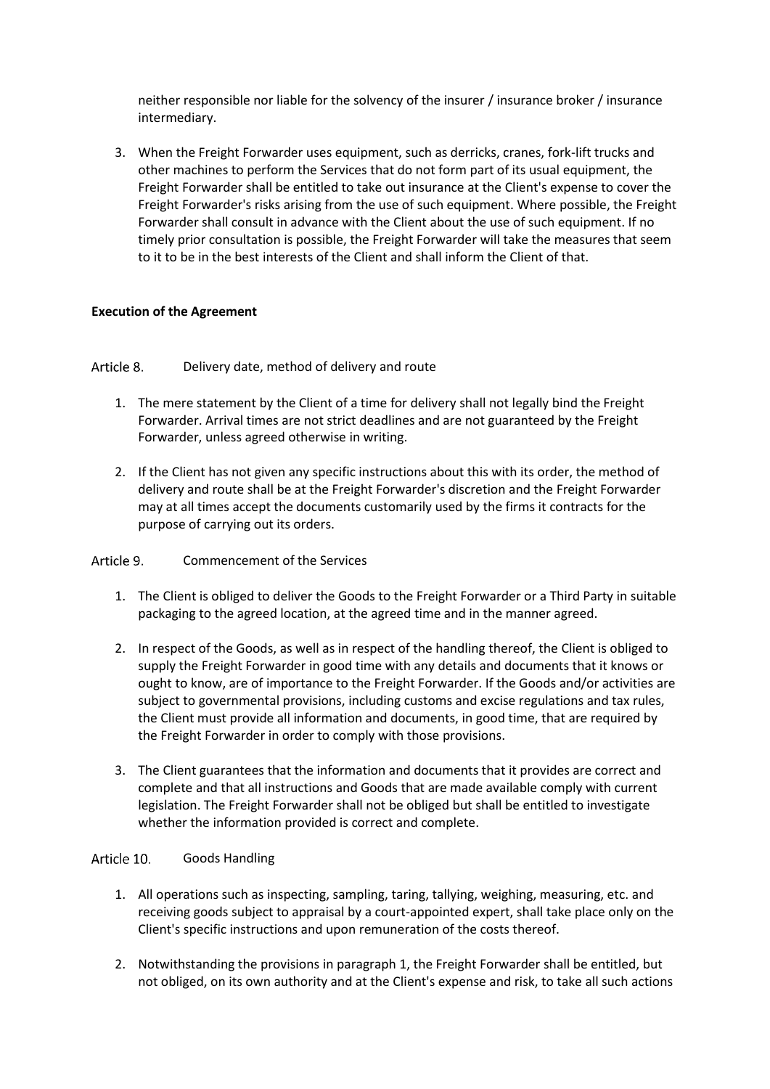neither responsible nor liable for the solvency of the insurer / insurance broker / insurance intermediary.

3. When the Freight Forwarder uses equipment, such as derricks, cranes, fork-lift trucks and other machines to perform the Services that do not form part of its usual equipment, the Freight Forwarder shall be entitled to take out insurance at the Client's expense to cover the Freight Forwarder's risks arising from the use of such equipment. Where possible, the Freight Forwarder shall consult in advance with the Client about the use of such equipment. If no timely prior consultation is possible, the Freight Forwarder will take the measures that seem to it to be in the best interests of the Client and shall inform the Client of that.

## <span id="page-5-0"></span>**Execution of the Agreement**

<span id="page-5-1"></span>Article 8. Delivery date, method of delivery and route

- 1. The mere statement by the Client of a time for delivery shall not legally bind the Freight Forwarder. Arrival times are not strict deadlines and are not guaranteed by the Freight Forwarder, unless agreed otherwise in writing.
- 2. If the Client has not given any specific instructions about this with its order, the method of delivery and route shall be at the Freight Forwarder's discretion and the Freight Forwarder may at all times accept the documents customarily used by the firms it contracts for the purpose of carrying out its orders.

Article 9. Commencement of the Services

- 1. The Client is obliged to deliver the Goods to the Freight Forwarder or a Third Party in suitable packaging to the agreed location, at the agreed time and in the manner agreed.
- 2. In respect of the Goods, as well as in respect of the handling thereof, the Client is obliged to supply the Freight Forwarder in good time with any details and documents that it knows or ought to know, are of importance to the Freight Forwarder. If the Goods and/or activities are subject to governmental provisions, including customs and excise regulations and tax rules, the Client must provide all information and documents, in good time, that are required by the Freight Forwarder in order to comply with those provisions.
- 3. The Client guarantees that the information and documents that it provides are correct and complete and that all instructions and Goods that are made available comply with current legislation. The Freight Forwarder shall not be obliged but shall be entitled to investigate whether the information provided is correct and complete.

#### <span id="page-5-2"></span>Article 10. Goods Handling

- 1. All operations such as inspecting, sampling, taring, tallying, weighing, measuring, etc. and receiving goods subject to appraisal by a court-appointed expert, shall take place only on the Client's specific instructions and upon remuneration of the costs thereof.
- 2. Notwithstanding the provisions in paragraph 1, the Freight Forwarder shall be entitled, but not obliged, on its own authority and at the Client's expense and risk, to take all such actions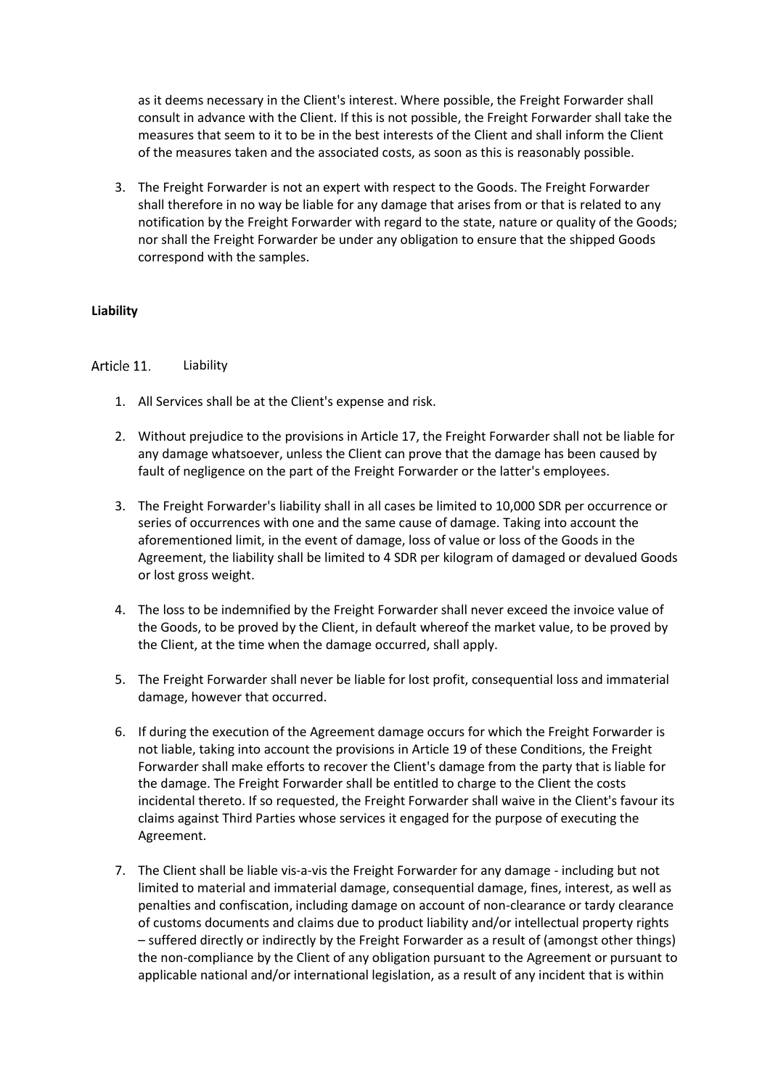as it deems necessary in the Client's interest. Where possible, the Freight Forwarder shall consult in advance with the Client. If this is not possible, the Freight Forwarder shall take the measures that seem to it to be in the best interests of the Client and shall inform the Client of the measures taken and the associated costs, as soon as this is reasonably possible.

3. The Freight Forwarder is not an expert with respect to the Goods. The Freight Forwarder shall therefore in no way be liable for any damage that arises from or that is related to any notification by the Freight Forwarder with regard to the state, nature or quality of the Goods; nor shall the Freight Forwarder be under any obligation to ensure that the shipped Goods correspond with the samples.

## <span id="page-6-0"></span>**Liability**

#### <span id="page-6-1"></span>Article 11. Liability

- 1. All Services shall be at the Client's expense and risk.
- 2. Without prejudice to the provisions in Article 17, the Freight Forwarder shall not be liable for any damage whatsoever, unless the Client can prove that the damage has been caused by fault of negligence on the part of the Freight Forwarder or the latter's employees.
- 3. The Freight Forwarder's liability shall in all cases be limited to 10,000 SDR per occurrence or series of occurrences with one and the same cause of damage. Taking into account the aforementioned limit, in the event of damage, loss of value or loss of the Goods in the Agreement, the liability shall be limited to 4 SDR per kilogram of damaged or devalued Goods or lost gross weight.
- 4. The loss to be indemnified by the Freight Forwarder shall never exceed the invoice value of the Goods, to be proved by the Client, in default whereof the market value, to be proved by the Client, at the time when the damage occurred, shall apply.
- 5. The Freight Forwarder shall never be liable for lost profit, consequential loss and immaterial damage, however that occurred.
- 6. If during the execution of the Agreement damage occurs for which the Freight Forwarder is not liable, taking into account the provisions in Article 19 of these Conditions, the Freight Forwarder shall make efforts to recover the Client's damage from the party that is liable for the damage. The Freight Forwarder shall be entitled to charge to the Client the costs incidental thereto. If so requested, the Freight Forwarder shall waive in the Client's favour its claims against Third Parties whose services it engaged for the purpose of executing the Agreement.
- 7. The Client shall be liable vis-a-vis the Freight Forwarder for any damage including but not limited to material and immaterial damage, consequential damage, fines, interest, as well as penalties and confiscation, including damage on account of non-clearance or tardy clearance of customs documents and claims due to product liability and/or intellectual property rights – suffered directly or indirectly by the Freight Forwarder as a result of (amongst other things) the non-compliance by the Client of any obligation pursuant to the Agreement or pursuant to applicable national and/or international legislation, as a result of any incident that is within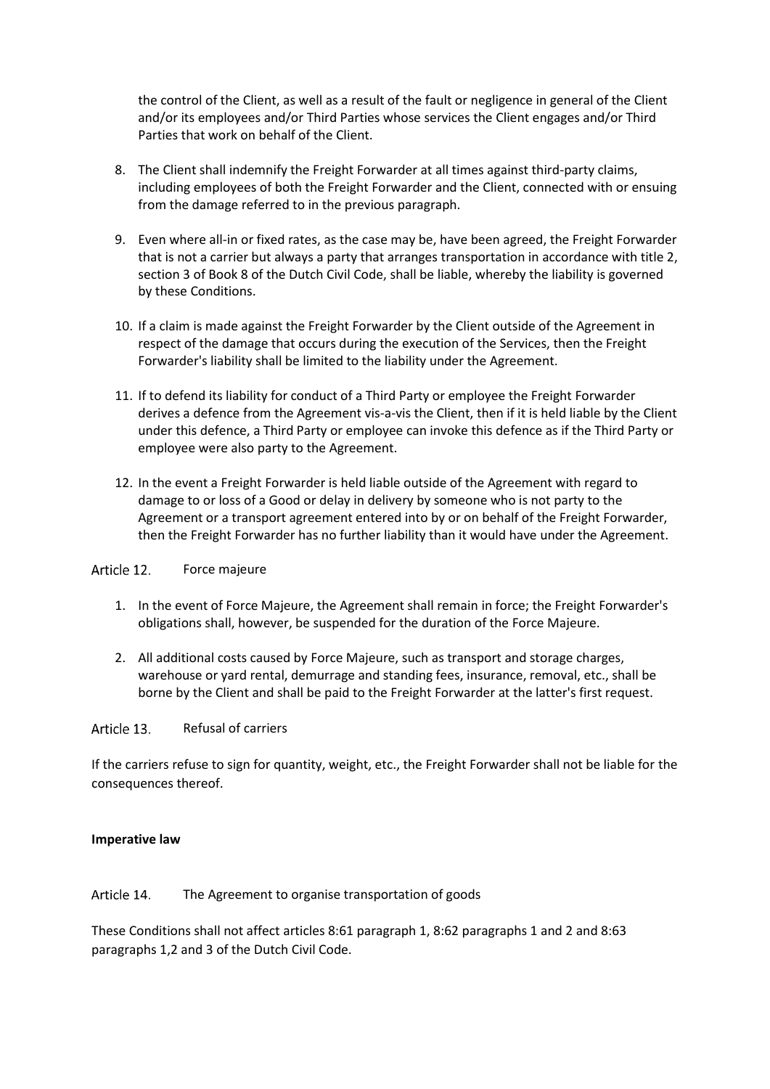the control of the Client, as well as a result of the fault or negligence in general of the Client and/or its employees and/or Third Parties whose services the Client engages and/or Third Parties that work on behalf of the Client.

- 8. The Client shall indemnify the Freight Forwarder at all times against third-party claims, including employees of both the Freight Forwarder and the Client, connected with or ensuing from the damage referred to in the previous paragraph.
- 9. Even where all-in or fixed rates, as the case may be, have been agreed, the Freight Forwarder that is not a carrier but always a party that arranges transportation in accordance with title 2, section 3 of Book 8 of the Dutch Civil Code, shall be liable, whereby the liability is governed by these Conditions.
- 10. If a claim is made against the Freight Forwarder by the Client outside of the Agreement in respect of the damage that occurs during the execution of the Services, then the Freight Forwarder's liability shall be limited to the liability under the Agreement.
- 11. If to defend its liability for conduct of a Third Party or employee the Freight Forwarder derives a defence from the Agreement vis-a-vis the Client, then if it is held liable by the Client under this defence, a Third Party or employee can invoke this defence as if the Third Party or employee were also party to the Agreement.
- 12. In the event a Freight Forwarder is held liable outside of the Agreement with regard to damage to or loss of a Good or delay in delivery by someone who is not party to the Agreement or a transport agreement entered into by or on behalf of the Freight Forwarder, then the Freight Forwarder has no further liability than it would have under the Agreement.

#### <span id="page-7-0"></span>Article 12. Force majeure

- 1. In the event of Force Majeure, the Agreement shall remain in force; the Freight Forwarder's obligations shall, however, be suspended for the duration of the Force Majeure.
- 2. All additional costs caused by Force Majeure, such as transport and storage charges, warehouse or yard rental, demurrage and standing fees, insurance, removal, etc., shall be borne by the Client and shall be paid to the Freight Forwarder at the latter's first request.

#### <span id="page-7-1"></span>Article 13. Refusal of carriers

If the carriers refuse to sign for quantity, weight, etc., the Freight Forwarder shall not be liable for the consequences thereof.

## <span id="page-7-2"></span>**Imperative law**

#### <span id="page-7-3"></span>Article 14. The Agreement to organise transportation of goods

These Conditions shall not affect articles 8:61 paragraph 1, 8:62 paragraphs 1 and 2 and 8:63 paragraphs 1,2 and 3 of the Dutch Civil Code.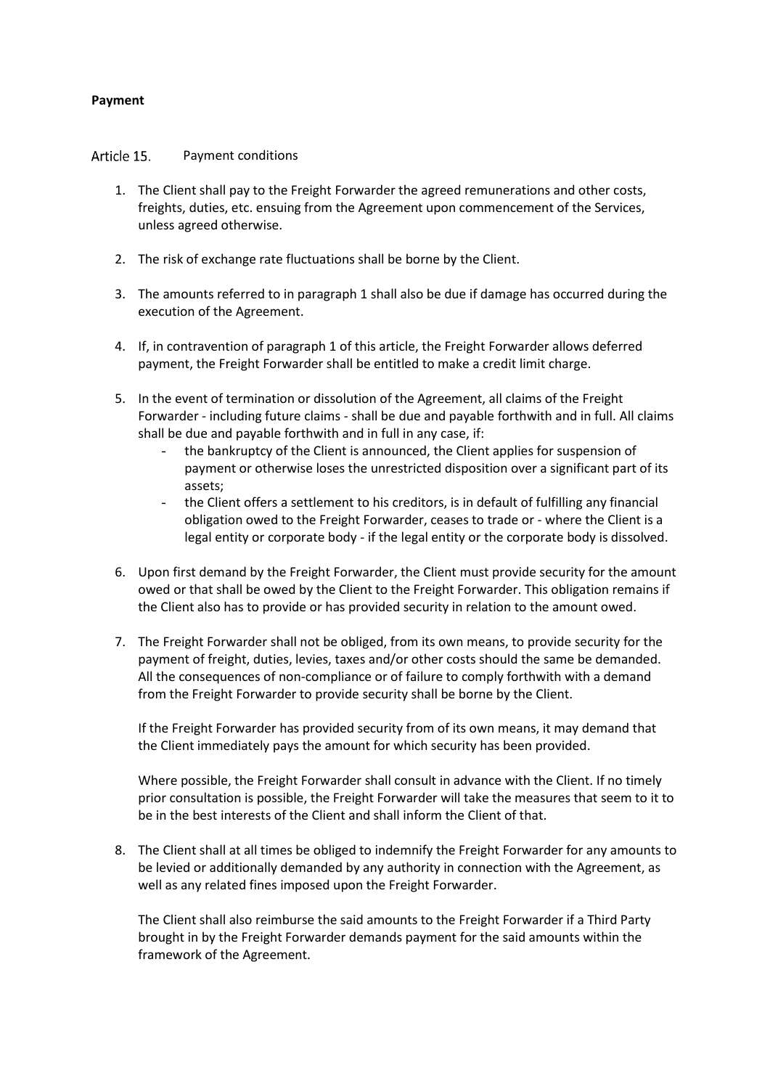## <span id="page-8-0"></span>**Payment**

<span id="page-8-1"></span>Article 15. Payment conditions

- 1. The Client shall pay to the Freight Forwarder the agreed remunerations and other costs, freights, duties, etc. ensuing from the Agreement upon commencement of the Services, unless agreed otherwise.
- 2. The risk of exchange rate fluctuations shall be borne by the Client.
- 3. The amounts referred to in paragraph 1 shall also be due if damage has occurred during the execution of the Agreement.
- 4. If, in contravention of paragraph 1 of this article, the Freight Forwarder allows deferred payment, the Freight Forwarder shall be entitled to make a credit limit charge.
- 5. In the event of termination or dissolution of the Agreement, all claims of the Freight Forwarder - including future claims - shall be due and payable forthwith and in full. All claims shall be due and payable forthwith and in full in any case, if:
	- the bankruptcy of the Client is announced, the Client applies for suspension of payment or otherwise loses the unrestricted disposition over a significant part of its assets;
	- the Client offers a settlement to his creditors, is in default of fulfilling any financial obligation owed to the Freight Forwarder, ceases to trade or - where the Client is a legal entity or corporate body - if the legal entity or the corporate body is dissolved.
- 6. Upon first demand by the Freight Forwarder, the Client must provide security for the amount owed or that shall be owed by the Client to the Freight Forwarder. This obligation remains if the Client also has to provide or has provided security in relation to the amount owed.
- 7. The Freight Forwarder shall not be obliged, from its own means, to provide security for the payment of freight, duties, levies, taxes and/or other costs should the same be demanded. All the consequences of non-compliance or of failure to comply forthwith with a demand from the Freight Forwarder to provide security shall be borne by the Client.

If the Freight Forwarder has provided security from of its own means, it may demand that the Client immediately pays the amount for which security has been provided.

Where possible, the Freight Forwarder shall consult in advance with the Client. If no timely prior consultation is possible, the Freight Forwarder will take the measures that seem to it to be in the best interests of the Client and shall inform the Client of that.

8. The Client shall at all times be obliged to indemnify the Freight Forwarder for any amounts to be levied or additionally demanded by any authority in connection with the Agreement, as well as any related fines imposed upon the Freight Forwarder.

The Client shall also reimburse the said amounts to the Freight Forwarder if a Third Party brought in by the Freight Forwarder demands payment for the said amounts within the framework of the Agreement.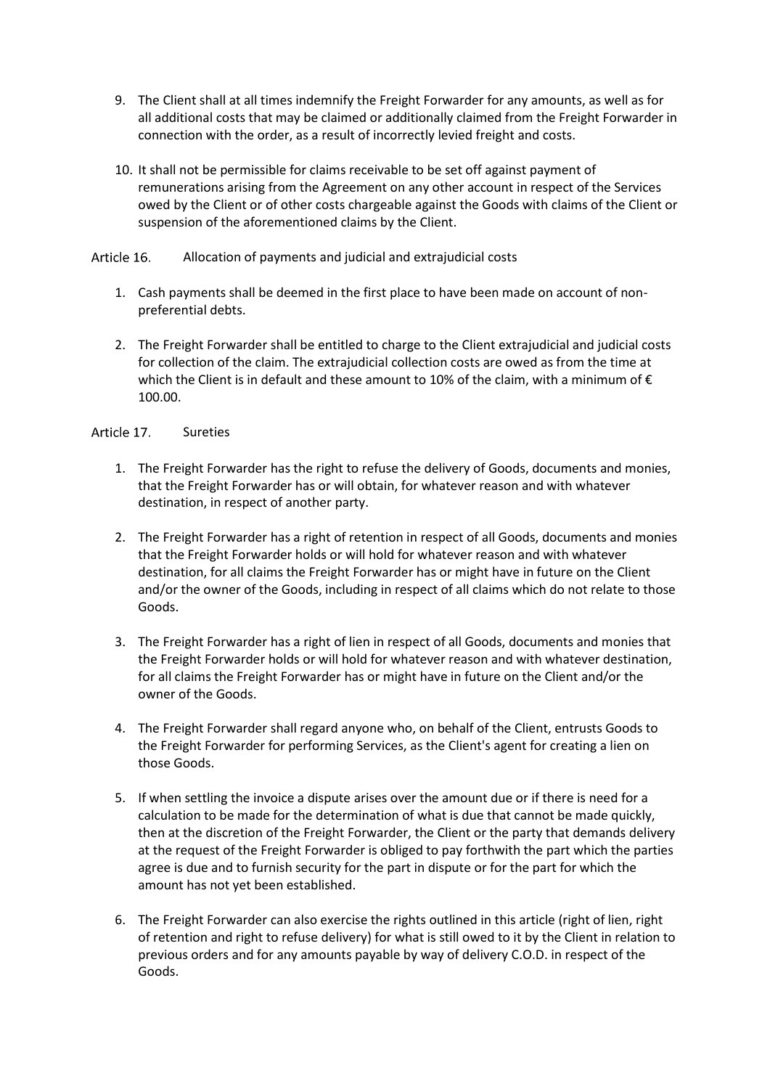- 9. The Client shall at all times indemnify the Freight Forwarder for any amounts, as well as for all additional costs that may be claimed or additionally claimed from the Freight Forwarder in connection with the order, as a result of incorrectly levied freight and costs.
- 10. It shall not be permissible for claims receivable to be set off against payment of remunerations arising from the Agreement on any other account in respect of the Services owed by the Client or of other costs chargeable against the Goods with claims of the Client or suspension of the aforementioned claims by the Client.

#### <span id="page-9-0"></span>Article 16. Allocation of payments and judicial and extrajudicial costs

- 1. Cash payments shall be deemed in the first place to have been made on account of nonpreferential debts.
- 2. The Freight Forwarder shall be entitled to charge to the Client extrajudicial and judicial costs for collection of the claim. The extrajudicial collection costs are owed as from the time at which the Client is in default and these amount to 10% of the claim, with a minimum of  $\epsilon$ 100.00.

#### <span id="page-9-1"></span>Article 17. Sureties

- 1. The Freight Forwarder has the right to refuse the delivery of Goods, documents and monies, that the Freight Forwarder has or will obtain, for whatever reason and with whatever destination, in respect of another party.
- 2. The Freight Forwarder has a right of retention in respect of all Goods, documents and monies that the Freight Forwarder holds or will hold for whatever reason and with whatever destination, for all claims the Freight Forwarder has or might have in future on the Client and/or the owner of the Goods, including in respect of all claims which do not relate to those Goods.
- 3. The Freight Forwarder has a right of lien in respect of all Goods, documents and monies that the Freight Forwarder holds or will hold for whatever reason and with whatever destination, for all claims the Freight Forwarder has or might have in future on the Client and/or the owner of the Goods.
- 4. The Freight Forwarder shall regard anyone who, on behalf of the Client, entrusts Goods to the Freight Forwarder for performing Services, as the Client's agent for creating a lien on those Goods.
- 5. If when settling the invoice a dispute arises over the amount due or if there is need for a calculation to be made for the determination of what is due that cannot be made quickly, then at the discretion of the Freight Forwarder, the Client or the party that demands delivery at the request of the Freight Forwarder is obliged to pay forthwith the part which the parties agree is due and to furnish security for the part in dispute or for the part for which the amount has not yet been established.
- 6. The Freight Forwarder can also exercise the rights outlined in this article (right of lien, right of retention and right to refuse delivery) for what is still owed to it by the Client in relation to previous orders and for any amounts payable by way of delivery C.O.D. in respect of the Goods.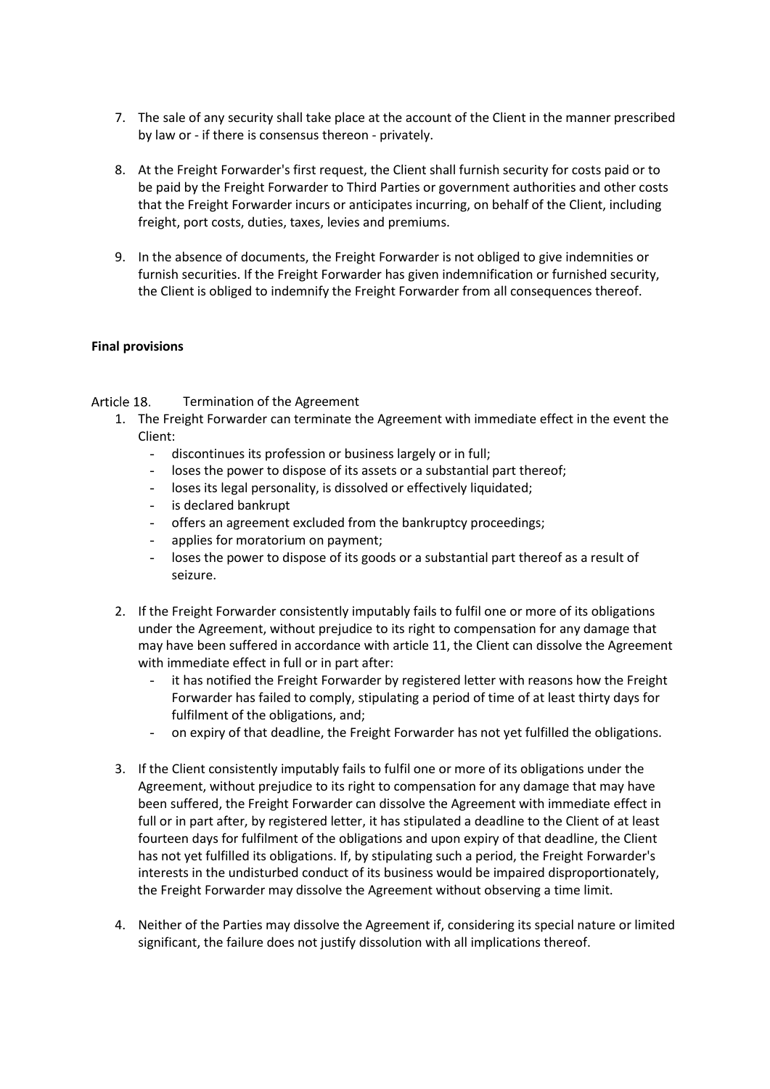- 7. The sale of any security shall take place at the account of the Client in the manner prescribed by law or - if there is consensus thereon - privately.
- 8. At the Freight Forwarder's first request, the Client shall furnish security for costs paid or to be paid by the Freight Forwarder to Third Parties or government authorities and other costs that the Freight Forwarder incurs or anticipates incurring, on behalf of the Client, including freight, port costs, duties, taxes, levies and premiums.
- 9. In the absence of documents, the Freight Forwarder is not obliged to give indemnities or furnish securities. If the Freight Forwarder has given indemnification or furnished security, the Client is obliged to indemnify the Freight Forwarder from all consequences thereof.

## <span id="page-10-0"></span>**Final provisions**

#### <span id="page-10-1"></span>Article 18. Termination of the Agreement

- 1. The Freight Forwarder can terminate the Agreement with immediate effect in the event the Client:
	- discontinues its profession or business largely or in full;
	- loses the power to dispose of its assets or a substantial part thereof;
	- loses its legal personality, is dissolved or effectively liquidated;
	- is declared bankrupt
	- offers an agreement excluded from the bankruptcy proceedings;
	- applies for moratorium on payment;
	- loses the power to dispose of its goods or a substantial part thereof as a result of seizure.
- 2. If the Freight Forwarder consistently imputably fails to fulfil one or more of its obligations under the Agreement, without prejudice to its right to compensation for any damage that may have been suffered in accordance with article 11, the Client can dissolve the Agreement with immediate effect in full or in part after:
	- it has notified the Freight Forwarder by registered letter with reasons how the Freight Forwarder has failed to comply, stipulating a period of time of at least thirty days for fulfilment of the obligations, and;
	- on expiry of that deadline, the Freight Forwarder has not yet fulfilled the obligations.
- 3. If the Client consistently imputably fails to fulfil one or more of its obligations under the Agreement, without prejudice to its right to compensation for any damage that may have been suffered, the Freight Forwarder can dissolve the Agreement with immediate effect in full or in part after, by registered letter, it has stipulated a deadline to the Client of at least fourteen days for fulfilment of the obligations and upon expiry of that deadline, the Client has not yet fulfilled its obligations. If, by stipulating such a period, the Freight Forwarder's interests in the undisturbed conduct of its business would be impaired disproportionately, the Freight Forwarder may dissolve the Agreement without observing a time limit.
- 4. Neither of the Parties may dissolve the Agreement if, considering its special nature or limited significant, the failure does not justify dissolution with all implications thereof.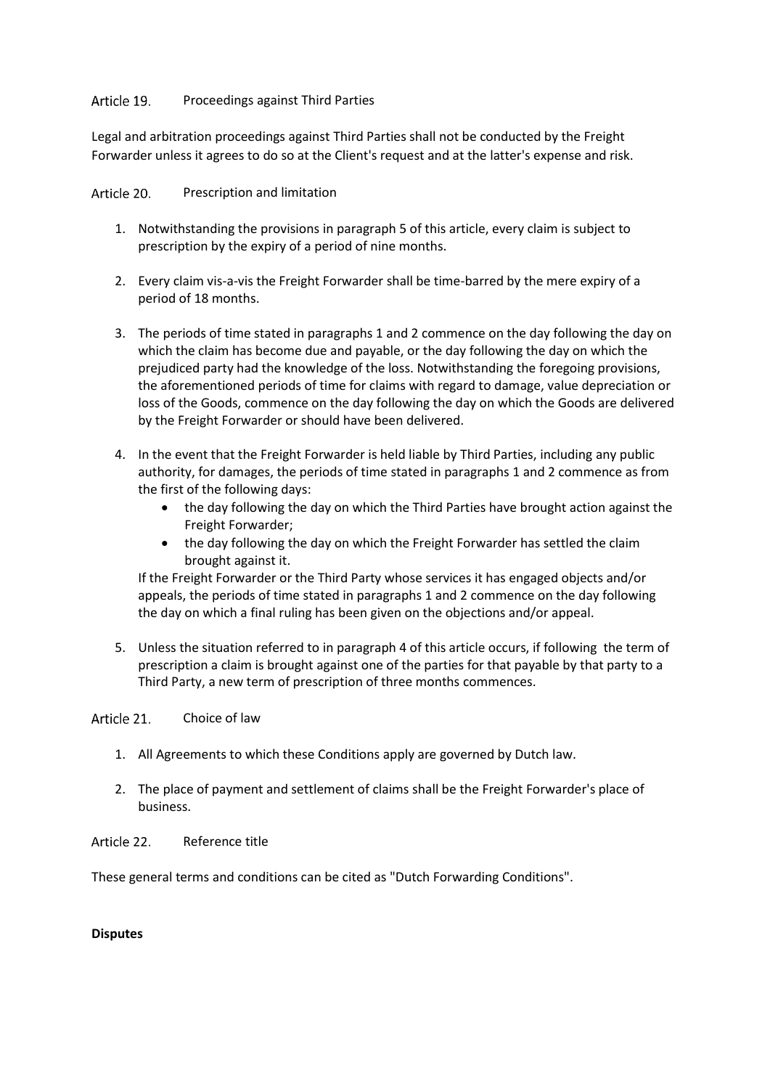#### <span id="page-11-0"></span>Article 19. Proceedings against Third Parties

Legal and arbitration proceedings against Third Parties shall not be conducted by the Freight Forwarder unless it agrees to do so at the Client's request and at the latter's expense and risk.

<span id="page-11-1"></span>Article 20. Prescription and limitation

- 1. Notwithstanding the provisions in paragraph 5 of this article, every claim is subject to prescription by the expiry of a period of nine months.
- 2. Every claim vis-a-vis the Freight Forwarder shall be time-barred by the mere expiry of a period of 18 months.
- 3. The periods of time stated in paragraphs 1 and 2 commence on the day following the day on which the claim has become due and payable, or the day following the day on which the prejudiced party had the knowledge of the loss. Notwithstanding the foregoing provisions, the aforementioned periods of time for claims with regard to damage, value depreciation or loss of the Goods, commence on the day following the day on which the Goods are delivered by the Freight Forwarder or should have been delivered.
- 4. In the event that the Freight Forwarder is held liable by Third Parties, including any public authority, for damages, the periods of time stated in paragraphs 1 and 2 commence as from the first of the following days:
	- the day following the day on which the Third Parties have brought action against the Freight Forwarder;
	- the day following the day on which the Freight Forwarder has settled the claim brought against it.

If the Freight Forwarder or the Third Party whose services it has engaged objects and/or appeals, the periods of time stated in paragraphs 1 and 2 commence on the day following the day on which a final ruling has been given on the objections and/or appeal.

5. Unless the situation referred to in paragraph 4 of this article occurs, if following the term of prescription a claim is brought against one of the parties for that payable by that party to a Third Party, a new term of prescription of three months commences.

#### <span id="page-11-2"></span>Article 21 Choice of law

- 1. All Agreements to which these Conditions apply are governed by Dutch law.
- 2. The place of payment and settlement of claims shall be the Freight Forwarder's place of business.

<span id="page-11-3"></span>Article 22. Reference title

These general terms and conditions can be cited as "Dutch Forwarding Conditions".

## <span id="page-11-4"></span>**Disputes**